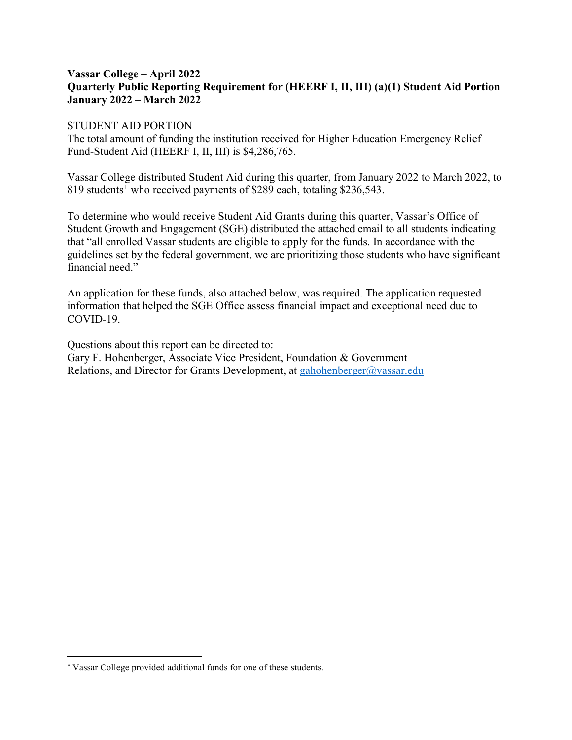## **Vassar College – April 2022 Quarterly Public Reporting Requirement for (HEERF I, II, III) (a)(1) Student Aid Portion January 2022 – March 2022**

### STUDENT AID PORTION

The total amount of funding the institution received for Higher Education Emergency Relief Fund-Student Aid (HEERF I, II, III) is \$4,286,765.

Vassar College distributed Student Aid during this quarter, from January 2022 to March 2022, to 8[1](#page-0-0)9 students<sup>1</sup> who received payments of \$289 each, totaling \$236,543.

To determine who would receive Student Aid Grants during this quarter, Vassar's Office of Student Growth and Engagement (SGE) distributed the attached email to all students indicating that "all enrolled Vassar students are eligible to apply for the funds. In accordance with the guidelines set by the federal government, we are prioritizing those students who have significant financial need."

An application for these funds, also attached below, was required. The application requested information that helped the SGE Office assess financial impact and exceptional need due to COVID-19.

Questions about this report can be directed to: Gary F. Hohenberger, Associate Vice President, Foundation & Government Relations, and Director for Grants Development, at [gahohenberger@vassar.edu](mailto:gahohenberger@vassar.edu)

 $\overline{a}$ 

<span id="page-0-0"></span><sup>∗</sup> Vassar College provided additional funds for one of these students.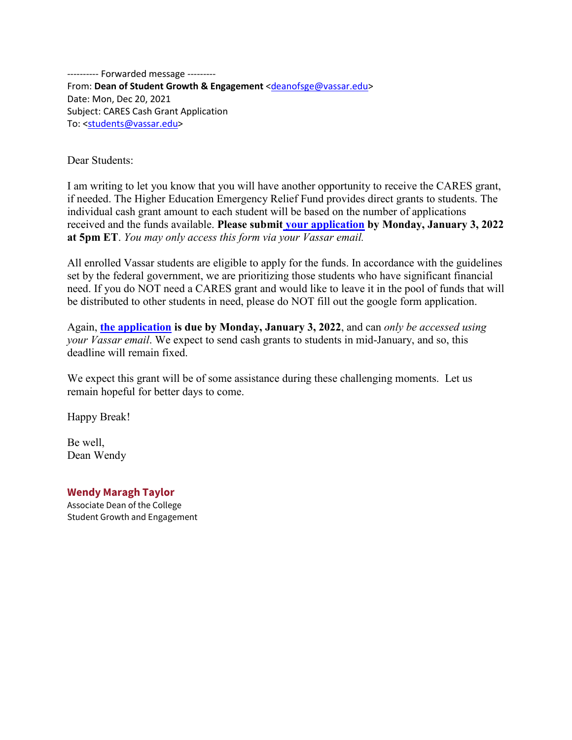---------- Forwarded message --------- From: **Dean of Student Growth & Engagement** [<deanofsge@vassar.edu>](mailto:deanofsge@vassar.edu) Date: Mon, Dec 20, 2021 Subject: CARES Cash Grant Application To: [<students@vassar.edu>](mailto:students@vassar.edu)

Dear Students:

I am writing to let you know that you will have another opportunity to receive the CARES grant, if needed. The Higher Education Emergency Relief Fund provides direct grants to students. The individual cash grant amount to each student will be based on the number of applications received and the funds available. **Please submit [your application](https://docs.google.com/forms/d/e/1FAIpQLScTt5gk92hZXWF0oKd9WGA-ca4HJu5f2WDH-Z8jURAUP1VQYw/viewform?usp=sf_link) by Monday, January 3, 2022 at 5pm ET**. *You may only access this form via your Vassar email.*

All enrolled Vassar students are eligible to apply for the funds. In accordance with the guidelines set by the federal government, we are prioritizing those students who have significant financial need. If you do NOT need a CARES grant and would like to leave it in the pool of funds that will be distributed to other students in need, please do NOT fill out the google form application.

Again, **[the application](https://docs.google.com/forms/d/e/1FAIpQLScTt5gk92hZXWF0oKd9WGA-ca4HJu5f2WDH-Z8jURAUP1VQYw/viewform?usp=sf_link) is due by Monday, January 3, 2022**, and can *only be accessed using your Vassar email*. We expect to send cash grants to students in mid-January, and so, this deadline will remain fixed.

We expect this grant will be of some assistance during these challenging moments. Let us remain hopeful for better days to come.

Happy Break!

Be well, Dean Wendy

**Wendy Maragh Taylor**

Associate Dean of the College Student Growth and Engagement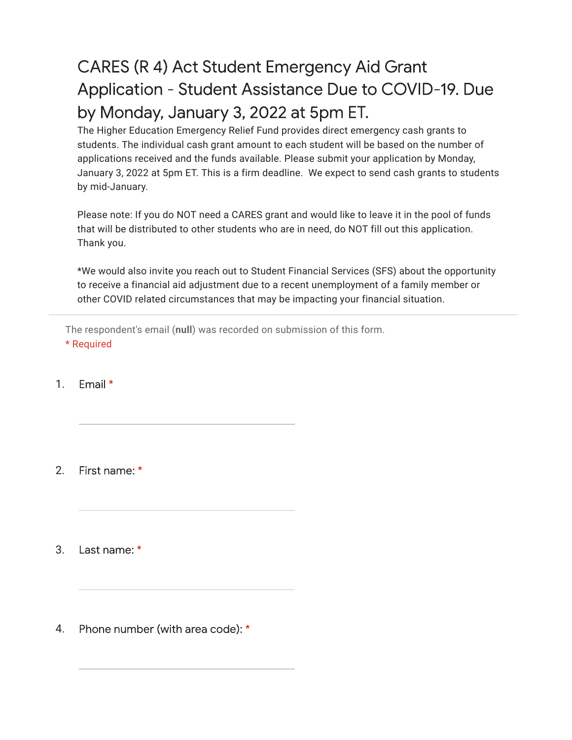# **CARES (R 4) Act Student Emergency Aid Grant** Application - Student Assistance Due to COVID-19. Due by Monday, January 3, 2022 at 5pm ET.

The Higher Education Emergency Relief Fund provides direct emergency cash grants to students. The individual cash grant amount to each student will be based on the number of applications received and the funds available. Please submit your application by Monday, January 3, 2022 at 5pm ET. This is a firm deadline. We expect to send cash grants to students by mid-January.

Please note: If you do NOT need a CARES grant and would like to leave it in the pool of funds that will be distributed to other students who are in need, do NOT fill out this application. Thank you.

\*We would also invite you reach out to Student Financial Services (SFS) about the opportunity to receive a financial aid adjustment due to a recent unemployment of a family member or other COVID related circumstances that may be impacting your financial situation.

The respondent's email (**null**) was recorded on submission of this form. \* Required

#### 1. Email  $*$

2. First name: \*

3. Last name: \*

Phone number (with area code): \* 4.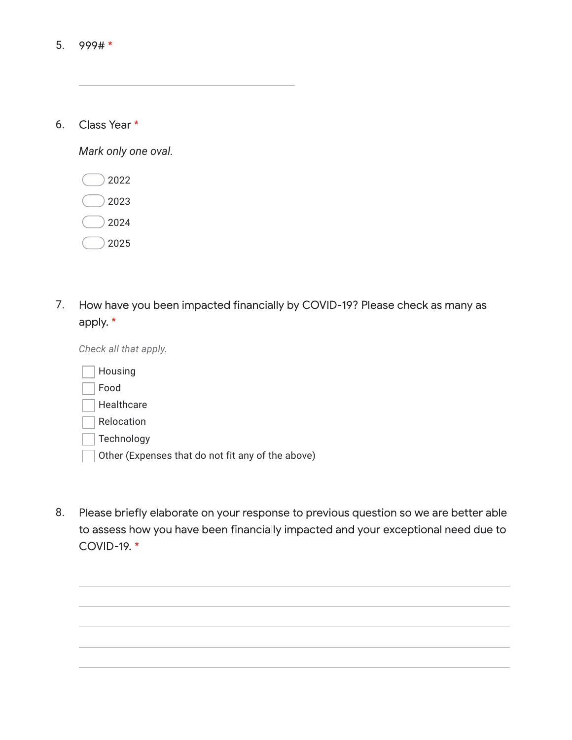| 6. | Class Year * |  |
|----|--------------|--|
|    |              |  |

*Mark only one oval.*

| 2022 |
|------|
| 2023 |
| 2024 |
| 2025 |

How have you been impacted financially by COVID-19? Please check as many as 7. apply. \*

*Check all that apply.*

| Housing                                           |
|---------------------------------------------------|
| Food                                              |
| Healthcare                                        |
| Relocation                                        |
| Technology                                        |
| Other (Expenses that do not fit any of the above) |

Please briefly elaborate on your response to previous question so we are better able 8.to assess how you have been financially impacted and your exceptional need due to COVID-19. \*